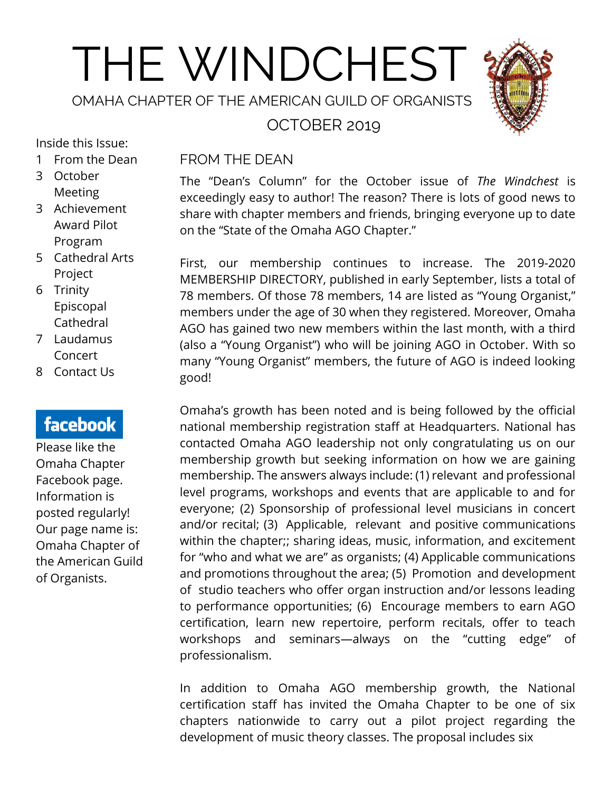# THE WINDCHEST

OMAHA CHAPTER OF THE AMERICAN GUILD OF ORGANISTS

OCTOBER 2019



#### Inside this Issue:

- 1 From the Dean
- 3 October **Meeting**
- 3 Achievement Award Pilot Program
- 5 Cathedral Arts Project
- 6 Trinity Episcopal Cathedral
- 7 Laudamus Concert
- 8 Contact Us

# facebook

Please like the Omaha Chapter Facebook page. Information is posted regularly! Our page name is: Omaha Chapter of the American Guild of Organists.

#### FROM THE DEAN

The "Dean's Column" for the October issue of *The Windchest* is exceedingly easy to author! The reason? There is lots of good news to share with chapter members and friends, bringing everyone up to date on the "State of the Omaha AGO Chapter."

First, our membership continues to increase. The 2019-2020 MEMBERSHIP DIRECTORY, published in early September, lists a total of 78 members. Of those 78 members, 14 are listed as "Young Organist," members under the age of 30 when they registered. Moreover, Omaha AGO has gained two new members within the last month, with a third (also a "Young Organist") who will be joining AGO in October. With so many "Young Organist" members, the future of AGO is indeed looking good!

Omaha's growth has been noted and is being followed by the official national membership registration staff at Headquarters. National has contacted Omaha AGO leadership not only congratulating us on our membership growth but seeking information on how we are gaining membership. The answers always include: (1) relevant and professional level programs, workshops and events that are applicable to and for everyone; (2) Sponsorship of professional level musicians in concert and/or recital; (3) Applicable, relevant and positive communications within the chapter;; sharing ideas, music, information, and excitement for "who and what we are" as organists; (4) Applicable communications and promotions throughout the area; (5) Promotion and development of studio teachers who offer organ instruction and/or lessons leading to performance opportunities; (6) Encourage members to earn AGO certification, learn new repertoire, perform recitals, offer to teach workshops and seminars—always on the "cutting edge" of professionalism.

In addition to Omaha AGO membership growth, the National certification staff has invited the Omaha Chapter to be one of six chapters nationwide to carry out a pilot project regarding the development of music theory classes. The proposal includes six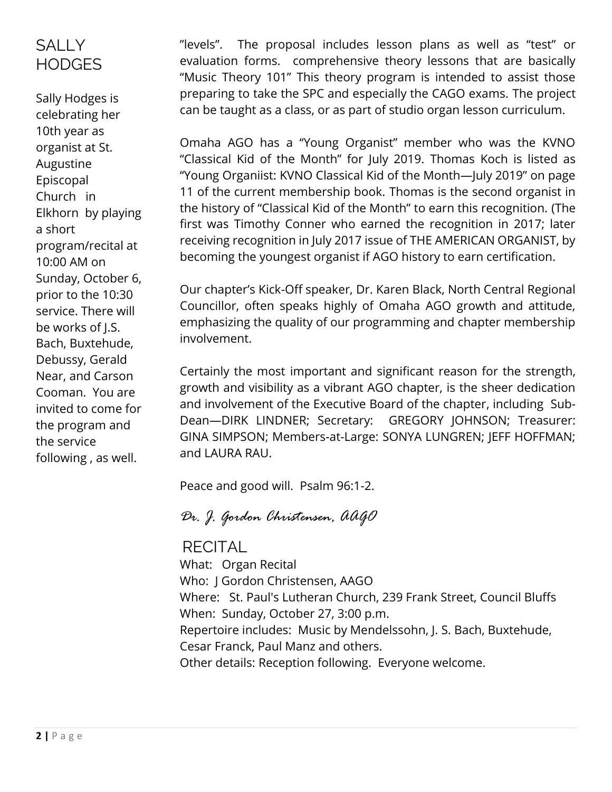## **SALLY HODGES**

Sally Hodges is celebrating her 10th year as organist at St. Augustine Episcopal Church in Elkhorn by playing a short program/recital at 10:00 AM on Sunday, October 6, prior to the 10:30 service. There will be works of J.S. Bach, Buxtehude, Debussy, Gerald Near, and Carson Cooman. You are invited to come for the program and the service following , as well.

"levels". The proposal includes lesson plans as well as "test" or evaluation forms. comprehensive theory lessons that are basically "Music Theory 101" This theory program is intended to assist those preparing to take the SPC and especially the CAGO exams. The project can be taught as a class, or as part of studio organ lesson curriculum.

Omaha AGO has a "Young Organist" member who was the KVNO "Classical Kid of the Month" for July 2019. Thomas Koch is listed as "Young Organiist: KVNO Classical Kid of the Month—July 2019" on page 11 of the current membership book. Thomas is the second organist in the history of "Classical Kid of the Month" to earn this recognition. (The first was Timothy Conner who earned the recognition in 2017; later receiving recognition in July 2017 issue of THE AMERICAN ORGANIST, by becoming the youngest organist if AGO history to earn certification.

Our chapter's Kick-Off speaker, Dr. Karen Black, North Central Regional Councillor, often speaks highly of Omaha AGO growth and attitude, emphasizing the quality of our programming and chapter membership involvement.

Certainly the most important and significant reason for the strength, growth and visibility as a vibrant AGO chapter, is the sheer dedication and involvement of the Executive Board of the chapter, including Sub-Dean—DIRK LINDNER; Secretary: GREGORY JOHNSON; Treasurer: GINA SIMPSON; Members-at-Large: SONYA LUNGREN; JEFF HOFFMAN; and LAURA RAU.

Peace and good will. Psalm 96:1-2.

#### *Dr. J. Gordon Christensen, AAGO*

#### **RECITAL**

What: Organ Recital Who: J Gordon Christensen, AAGO Where: St. Paul's Lutheran Church, 239 Frank Street, Council Bluffs When: Sunday, October 27, 3:00 p.m. Repertoire includes: Music by Mendelssohn, J. S. Bach, Buxtehude, Cesar Franck, Paul Manz and others. Other details: Reception following. Everyone welcome.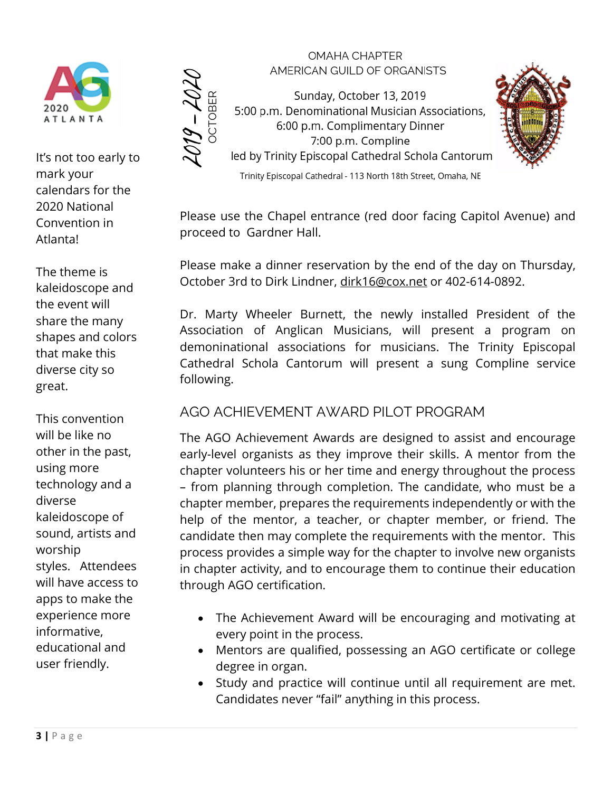

It's not too early to mark your calendars for the 2020 National Convention in Atlanta!

 $\frac{\partial f}{\partial \zeta} - \frac{\partial f}{\partial \zeta}$ 

The theme is kaleidoscope and the event will share the many shapes and colors that make this diverse city so great.

This convention will be like no other in the past, using more technology and a diverse kaleidoscope of sound, artists and worship styles. Attendees will have access to apps to make the experience more informative, educational and user friendly.

**OMAHA CHAPTER** AMERICAN GUILD OF ORGANISTS

Sunday, October 13, 2019 5:00 p.m. Denominational Musician Associations, 6:00 p.m. Complimentary Dinner 7:00 p.m. Compline led by Trinity Episcopal Cathedral Schola Cantorum



Trinity Episcopal Cathedral - 113 North 18th Street, Omaha, NE

Please use the Chapel entrance (red door facing Capitol Avenue) and proceed to Gardner Hall.

Please make a dinner reservation by the end of the day on Thursday, October 3rd to Dirk Lindner, [dirk16@cox.net](mailto:dirk16@cox.net) or 402-614-0892.

Dr. Marty Wheeler Burnett, the newly installed President of the Association of Anglican Musicians, will present a program on demoninational associations for musicians. The Trinity Episcopal Cathedral Schola Cantorum will present a sung Compline service following.

#### AGO ACHIEVEMENT AWARD PILOT PROGRAM

The AGO Achievement Awards are designed to assist and encourage early-level organists as they improve their skills. A mentor from the chapter volunteers his or her time and energy throughout the process – from planning through completion. The candidate, who must be a chapter member, prepares the requirements independently or with the help of the mentor, a teacher, or chapter member, or friend. The candidate then may complete the requirements with the mentor. This process provides a simple way for the chapter to involve new organists in chapter activity, and to encourage them to continue their education through AGO certification.

- The Achievement Award will be encouraging and motivating at every point in the process.
- Mentors are qualified, possessing an AGO certificate or college degree in organ.
- Study and practice will continue until all requirement are met. Candidates never "fail" anything in this process.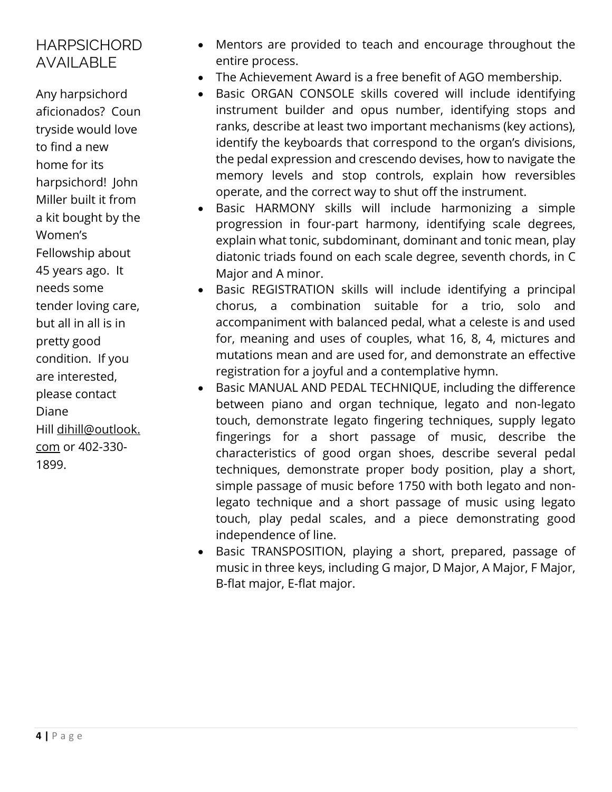#### **HARPSICHORD** AVAILABLE

Any harpsichord aficionados? Coun tryside would love to find a new home for its harpsichord! John Miller built it from a kit bought by the Women's Fellowship about 45 years ago. It needs some tender loving care, but all in all is in pretty good condition. If you are interested, please contact Diane Hill [dihill@outlook.](mailto:dihill@outlook.com) [com](mailto:dihill@outlook.com) or 402-330- 1899.

- Mentors are provided to teach and encourage throughout the entire process.
- The Achievement Award is a free benefit of AGO membership.
- Basic ORGAN CONSOLE skills covered will include identifying instrument builder and opus number, identifying stops and ranks, describe at least two important mechanisms (key actions), identify the keyboards that correspond to the organ's divisions, the pedal expression and crescendo devises, how to navigate the memory levels and stop controls, explain how reversibles operate, and the correct way to shut off the instrument.
- Basic HARMONY skills will include harmonizing a simple progression in four-part harmony, identifying scale degrees, explain what tonic, subdominant, dominant and tonic mean, play diatonic triads found on each scale degree, seventh chords, in C Major and A minor.
- Basic REGISTRATION skills will include identifying a principal chorus, a combination suitable for a trio, solo and accompaniment with balanced pedal, what a celeste is and used for, meaning and uses of couples, what 16, 8, 4, mictures and mutations mean and are used for, and demonstrate an effective registration for a joyful and a contemplative hymn.
- Basic MANUAL AND PEDAL TECHNIQUE, including the difference between piano and organ technique, legato and non-legato touch, demonstrate legato fingering techniques, supply legato fingerings for a short passage of music, describe the characteristics of good organ shoes, describe several pedal techniques, demonstrate proper body position, play a short, simple passage of music before 1750 with both legato and nonlegato technique and a short passage of music using legato touch, play pedal scales, and a piece demonstrating good independence of line.
- Basic TRANSPOSITION, playing a short, prepared, passage of music in three keys, including G major, D Major, A Major, F Major, B-flat major, E-flat major.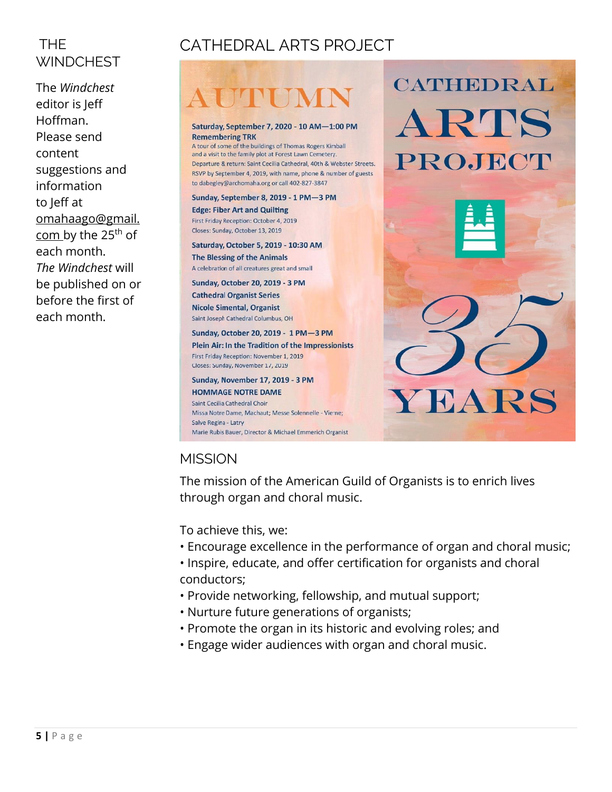## THE **WINDCHEST**

The *Windchest* editor is Jeff Hoffman. Please send content suggestions and information to Jeff at [omahaago@gmail.](mailto:omahaago@gmail.com) [com](mailto:omahaago@gmail.com) by the 25<sup>th</sup> of each month. *The Windchest* will be published on or before the first of each month.

## CATHEDRAL ARTS PROJECT

#### Saturday, September 7, 2020 - 10 AM-1:00 PM **Remembering TRK**

A tour of some of the buildings of Thomas Rogers Kimball and a visit to the family plot at Forest Lawn Cemetery. Departure & return: Saint Cecilia Cathedral, 40th & Webster Streets. RSVP by September 4, 2019, with name, phone & number of guests to dabegley@archomaha.org or call 402-827-3847

#### Sunday, September 8, 2019 - 1 PM-3 PM **Edge: Fiber Art and Quilting** First Friday Reception: October 4, 2019 Closes: Sunday, October 13, 2019

Saturday, October 5, 2019 - 10:30 AM **The Blessing of the Animals** A celebration of all creatures great and small

**Sunday, October 20, 2019 - 3 PM Cathedral Organist Series Nicole Simental, Organist** 

Saint Joseph Cathedral Columbus, OH

Sunday, October 20, 2019 - 1 PM-3 PM Plein Air: In the Tradition of the Impressionists First Friday Reception: November 1, 2019 Closes: Sunday, November 17, 2019

Sunday, November 17, 2019 - 3 PM **HOMMAGE NOTRE DAME** Saint Cecilia Cathedral Choir Missa Notre Dame, Machaut: Messe Solennelle - Vierne: Salve Regina - Latry Marie Rubis Bauer, Director & Michael Emmerich Organist



CATHEDRAL

### **MISSION**

The mission of the American Guild of Organists is to enrich lives through organ and choral music.

To achieve this, we:

- Encourage excellence in the performance of organ and choral music;
- Inspire, educate, and offer certification for organists and choral conductors;
- Provide networking, fellowship, and mutual support;
- Nurture future generations of organists;
- Promote the organ in its historic and evolving roles; and
- Engage wider audiences with organ and choral music.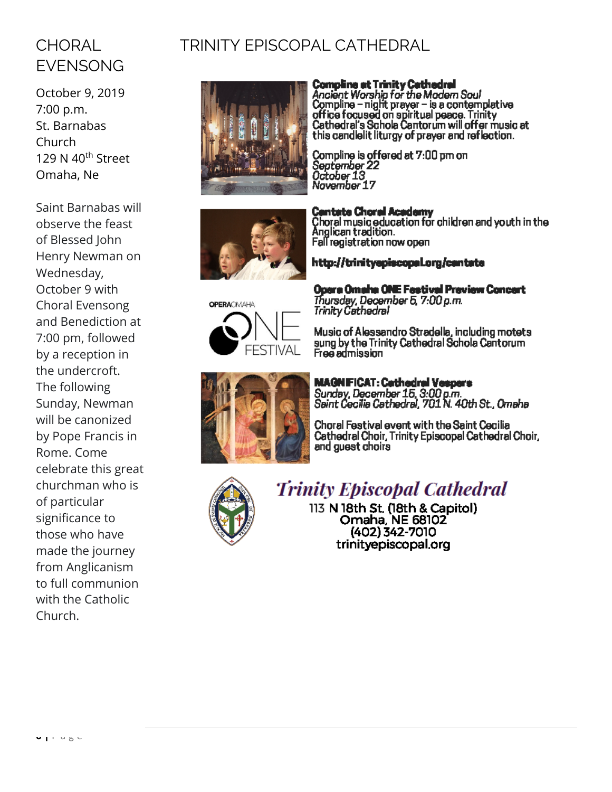## **CHORAL** EVENSONG

October 9, 2019 7:00 p.m. St. Barnabas Church 129 N 40<sup>th</sup> Street Omaha, Ne

Saint Barnabas will observe the feast of Blessed John Henry Newman on Wednesday, October 9 with Choral Evensong and Benediction at 7:00 pm, followed by a reception in the undercroft. The following Sunday, Newman will be canonized by Pope Francis in Rome. Come celebrate this great churchman who is of particular significance to those who have made the journey from Anglicanism to full communion with the Catholic Church.

## TRINITY EPISCOPAL CATHEDRAL



**Compline at Trinity Cathedral**<br>Ancient Worship for the Modern Soul<br>Compline – night prayer – is a contemplative<br>office focused on spiritual peace. Trinity<br>Cathedral's Schola Cantorum will offer music at<br>this candlelit lit

Compline is offered at 7:00 pm on<br>September 22<br>October 13<br>November 17



**OPERACMAHA** FFSTIVAI

Opera Omaha ONE Festival Preview Concert Thursday, December 5, 7:00 p.m.<br>Trinity Cathedral

Music of Alessandro Stradella, including motets Music or Alessandro Stradella, including motets<br>sung by the Trinity Cathedral Schola Cantorum<br>Free admission



**MAGNEICAT: Cathedral Vespers** Sunday, December 15, 3:00 p.m.<br>Saint Cecilia Cathedral, 701 N. 40th St., Omaha

Choral Festival event with the Saint Cecilia Cathedral Choir, Trinity Episcopal Cathedral Choir, and guest choirs



## **Trinity Episcopal Cathedral**

113 N 18th St. (18th & Capitol) Omaha, NE 68102 (402) 342-7010 trinityepiscopal.org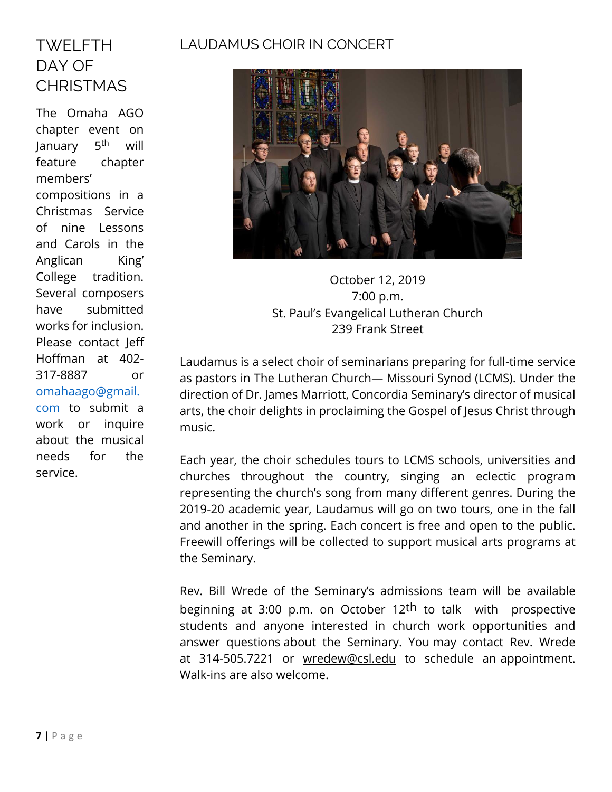#### LAUDAMUS CHOIR IN CONCERT

## TWELFTH DAY OF **CHRISTMAS**

The Omaha AGO chapter event on **January**  $5<sup>th</sup>$  will feature chapter members' compositions in a Christmas Service of nine Lessons and Carols in the Anglican King' College tradition. Several composers have submitted works for inclusion. Please contact Jeff Hoffman at 402- 317-8887 or [omahaago@gmail.](mailto:omahaago@gmail.com) [com](mailto:omahaago@gmail.com) to submit a work or inquire about the musical needs for the service.



October 12, 2019 7:00 p.m. St. Paul's Evangelical Lutheran Church 239 Frank Street

Laudamus is a select choir of seminarians preparing for full-time service as pastors in The Lutheran Church— Missouri Synod (LCMS). Under the direction of Dr. James Marriott, Concordia Seminary's director of musical arts, the choir delights in proclaiming the Gospel of Jesus Christ through music.

Each year, the choir schedules tours to LCMS schools, universities and churches throughout the country, singing an eclectic program representing the church's song from many different genres. During the 2019-20 academic year, Laudamus will go on two tours, one in the fall and another in the spring. Each concert is free and open to the public. Freewill offerings will be collected to support musical arts programs at the Seminary.

Rev. Bill Wrede of the Seminary's admissions team will be available beginning at 3:00 p.m. on October 12th to talk with prospective students and anyone interested in church work opportunities and answer questions about the Seminary. You may contact Rev. Wrede at 314-505.7221 or [wredew@csl.edu to](mailto:wredew@csl.edu) schedule an appointment. Walk-ins are also welcome.